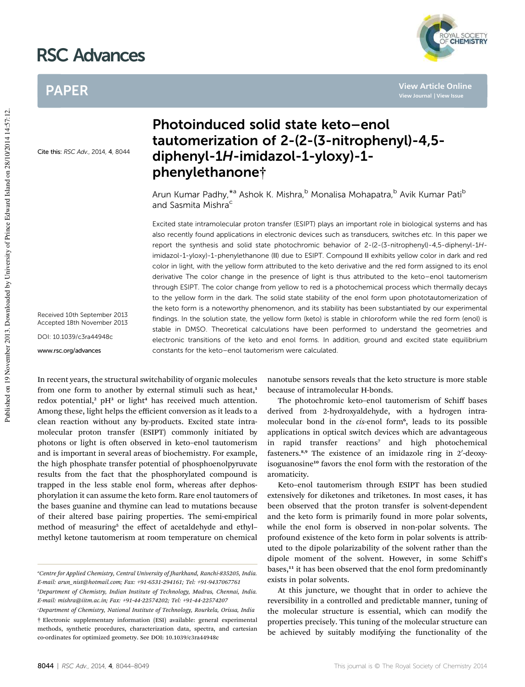# RSC Advances

### PAPER

*MAL SOCIETY*<br>CHEMISTRY

**View Article Online**

Cite this: RSC Adv., 2014, 4, 8044

Received 10th September 2013 Accepted 18th November 2013

DOI: 10.1039/c3ra44948c

www.rsc.org/advances

## Photoinduced solid state keto–enol tautomerization of 2-(2-(3-nitrophenyl)-4,5 diphenyl-1H-imidazol-1-yloxy)-1 phenylethanone†

Arun Kumar Padhy,<sup>\*a</sup> Ashok K. Mishra,<sup>b</sup> Monalisa Mohapatra,<sup>b</sup> Avik Kumar Pati<sup>b</sup> and Sasmita Mishra<sup>c</sup>

Excited state intramolecular proton transfer (ESIPT) plays an important role in biological systems and has also recently found applications in electronic devices such as transducers, switches etc. In this paper we report the synthesis and solid state photochromic behavior of 2-(2-(3-nitrophenyl)-4,5-diphenyl-1Himidazol-1-yloxy)-1-phenylethanone (II) due to ESIPT. Compound II exhibits yellow color in dark and red color in light, with the yellow form attributed to the keto derivative and the red form assigned to its enol derivative The color change in the presence of light is thus attributed to the keto–enol tautomerism through ESIPT. The color change from yellow to red is a photochemical process which thermally decays to the yellow form in the dark. The solid state stability of the enol form upon phototautomerization of the keto form is a noteworthy phenomenon, and its stability has been substantiated by our experimental findings. In the solution state, the yellow form (keto) is stable in chloroform while the red form (enol) is stable in DMSO. Theoretical calculations have been performed to understand the geometries and electronic transitions of the keto and enol forms. In addition, ground and excited state equilibrium constants for the keto–enol tautomerism were calculated.

In recent years, the structural switchability of organic molecules from one form to another by external stimuli such as heat,<sup>1</sup> redox potential,<sup>2</sup> pH<sup>3</sup> or light<sup>4</sup> has received much attention. Among these, light helps the efficient conversion as it leads to a clean reaction without any by-products. Excited state intramolecular proton transfer (ESIPT) commonly initiated by photons or light is often observed in keto-enol tautomerism and is important in several areas of biochemistry. For example, the high phosphate transfer potential of phosphoenolpyruvate results from the fact that the phosphorylated compound is trapped in the less stable enol form, whereas after dephosphorylation it can assume the keto form. Rare enol tautomers of the bases guanine and thymine can lead to mutations because of their altered base pairing properties. The semi-empirical method of measuring<sup>5</sup> the effect of acetaldehyde and ethylmethyl ketone tautomerism at room temperature on chemical

nanotube sensors reveals that the keto structure is more stable because of intramolecular H-bonds.

The photochromic keto–enol tautomerism of Schiff bases derived from 2-hydroxyaldehyde, with a hydrogen intramolecular bond in the *cis-*enol form<sup>6</sup>, leads to its possible applications in optical switch devices which are advantageous in rapid transfer reactions<sup>7</sup> and high photochemical fasteners.<sup>8,9</sup> The existence of an imidazole ring in 2'-deoxyisoguanosine<sup>10</sup> favors the enol form with the restoration of the aromaticity.

Keto–enol tautomerism through ESIPT has been studied extensively for diketones and triketones. In most cases, it has been observed that the proton transfer is solvent-dependent and the keto form is primarily found in more polar solvents, while the enol form is observed in non-polar solvents. The profound existence of the keto form in polar solvents is attributed to the dipole polarizability of the solvent rather than the dipole moment of the solvent. However, in some Schiff's bases,<sup>11</sup> it has been observed that the enol form predominantly exists in polar solvents.

At this juncture, we thought that in order to achieve the reversibility in a controlled and predictable manner, tuning of the molecular structure is essential, which can modify the properties precisely. This tuning of the molecular structure can be achieved by suitably modifying the functionality of the

*<sup>a</sup>Centre for Applied Chemistry, Central University of Jharkhand, Ranchi-835205, India. E-mail: arun\_nist@hotmail.com; Fax: +91-6531-294161; Tel: +91-9437067761*

*<sup>b</sup>Department of Chemistry, Indian Institute of Technology, Madras, Chennai, India. E-mail: mishra@iitm.ac.in; Fax: +91-44-22574202; Tel: +91-44-22574207*

*<sup>c</sup>Department of Chemistry, National Institute of Technology, Rourkela, Orissa, India* † Electronic supplementary information (ESI) available: general experimental methods, synthetic procedures, characterization data, spectra, and cartesian co-ordinates for optimized geometry. See DOI: 10.1039/c3ra44948c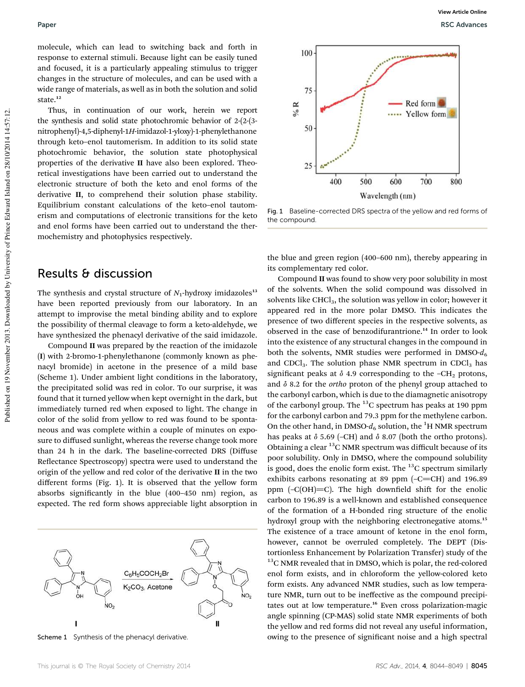molecule, which can lead to switching back and forth in response to external stimuli. Because light can be easily tuned and focused, it is a particularly appealing stimulus to trigger changes in the structure of molecules, and can be used with a wide range of materials, as well as in both the solution and solid state.<sup>12</sup>

Thus, in continuation of our work, herein we report the synthesis and solid state photochromic behavior of 2-(2-(3 nitrophenyl)-4,5-diphenyl-1*H*-imidazol-1-yloxy)-1-phenylethanone through keto–enol tautomerism. In addition to its solid state photochromic behavior, the solution state photophysical properties of the derivative II have also been explored. Theoretical investigations have been carried out to understand the electronic structure of both the keto and enol forms of the derivative II, to comprehend their solution phase stability. Equilibrium constant calculations of the keto–enol tautomerism and computations of electronic transitions for the keto and enol forms have been carried out to understand the thermochemistry and photophysics respectively.

#### Results & discussion

The synthesis and crystal structure of  $N_1$ -hydroxy imidazoles<sup>13</sup> have been reported previously from our laboratory. In an attempt to improvise the metal binding ability and to explore the possibility of thermal cleavage to form a keto-aldehyde, we have synthesized the phenacyl derivative of the said imidazole.

Compound II was prepared by the reaction of the imidazole (I) with 2-bromo-1-phenylethanone (commonly known as phenacyl bromide) in acetone in the presence of a mild base (Scheme 1). Under ambient light conditions in the laboratory, the precipitated solid was red in color. To our surprise, it was found that it turned yellow when kept overnight in the dark, but immediately turned red when exposed to light. The change in color of the solid from yellow to red was found to be spontaneous and was complete within a couple of minutes on exposure to diffused sunlight, whereas the reverse change took more than 24 h in the dark. The baseline-corrected DRS (Diffuse Reflectance Spectroscopy) spectra were used to understand the origin of the yellow and red color of the derivative II in the two different forms (Fig. 1). It is observed that the yellow form absorbs significantly in the blue (400-450 nm) region, as expected. The red form shows appreciable light absorption in





Fig. 1 Baseline-corrected DRS spectra of the yellow and red forms of the compound.

the blue and green region (400–600 nm), thereby appearing in its complementary red color.

Compound II was found to show very poor solubility in most of the solvents. When the solid compound was dissolved in solvents like  $CHCl<sub>3</sub>$ , the solution was yellow in color; however it appeared red in the more polar DMSO. This indicates the presence of two different species in the respective solvents, as observed in the case of benzodifurantrione.<sup>14</sup> In order to look into the existence of any structural changes in the compound in both the solvents, NMR studies were performed in DMSO- $d_6$ and CDCl<sub>3</sub>. The solution phase NMR spectrum in CDCl<sub>3</sub> has significant peaks at  $\delta$  4.9 corresponding to the -CH<sub>2</sub> protons, and  $\delta$  8.2 for the *ortho* proton of the phenyl group attached to the carbonyl carbon, which is due to the diamagnetic anisotropy of the carbonyl group. The <sup>13</sup>C spectrum has peaks at 190 ppm for the carbonyl carbon and 79.3 ppm for the methylene carbon. On the other hand, in DMSO- $d_6$  solution, the <sup>1</sup>H NMR spectrum has peaks at  $\delta$  5.69 (–CH) and  $\delta$  8.07 (both the ortho protons). Obtaining a clear  $^{13}$ C NMR spectrum was difficult because of its poor solubility. Only in DMSO, where the compound solubility is good, does the enolic form exist. The  $^{13}$ C spectrum similarly exhibits carbons resonating at 89 ppm  $(-C=CH)$  and 196.89 ppm  $(-C(OH)=C)$ . The high downfield shift for the enolic carbon to 196.89 is a well-known and established consequence of the formation of a H-bonded ring structure of the enolic hydroxyl group with the neighboring electronegative atoms.<sup>15</sup> The existence of a trace amount of ketone in the enol form, however, cannot be overruled completely. The DEPT (Distortionless Enhancement by Polarization Transfer) study of the <sup>13</sup>C NMR revealed that in DMSO, which is polar, the red-colored enol form exists, and in chloroform the yellow-colored keto form exists. Any advanced NMR studies, such as low temperature NMR, turn out to be ineffective as the compound precipitates out at low temperature.<sup>16</sup> Even cross polarization-magic angle spinning (CP-MAS) solid state NMR experiments of both the yellow and red forms did not reveal any useful information, Scheme 1 Synthesis of the phenacyl derivative. **owing to the presence of significant noise and a high spectral**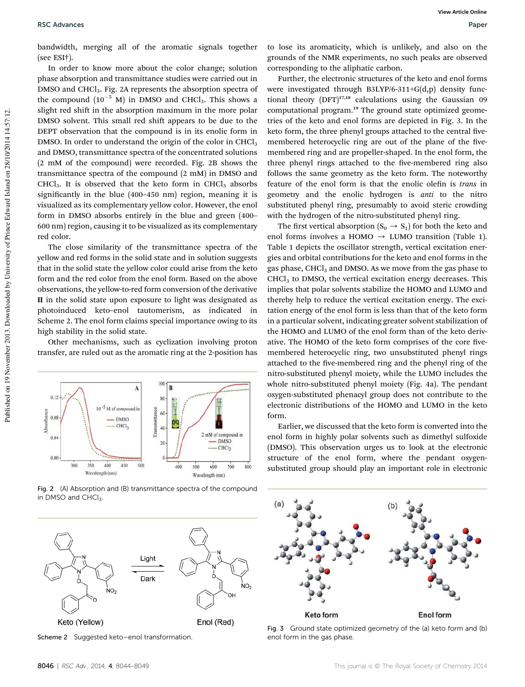bandwidth, merging all of the aromatic signals together (see ESI†).

In order to know more about the color change; solution phase absorption and transmittance studies were carried out in DMSO and CHCl<sub>3</sub>. Fig. 2A represents the absorption spectra of the compound  $(10^{-5}$  M) in DMSO and CHCl<sub>3</sub>. This shows a slight red shift in the absorption maximum in the more polar DMSO solvent. This small red shift appears to be due to the DEPT observation that the compound is in its enolic form in DMSO. In order to understand the origin of the color in  $CHCl<sub>3</sub>$ and DMSO, transmittance spectra of the concentrated solutions (2 mM of the compound) were recorded. Fig. 2B shows the transmittance spectra of the compound (2 mM) in DMSO and  $CHCl<sub>3</sub>$ . It is observed that the keto form in  $CHCl<sub>3</sub>$  absorbs significantly in the blue (400-450 nm) region, meaning it is visualized as its complementary yellow color. However, the enol form in DMSO absorbs entirely in the blue and green (400– 600 nm) region, causing it to be visualized as its complementary red color.

The close similarity of the transmittance spectra of the yellow and red forms in the solid state and in solution suggests that in the solid state the yellow color could arise from the keto form and the red color from the enol form. Based on the above observations, the yellow-to-red form conversion of the derivative II in the solid state upon exposure to light was designated as photoinduced keto–enol tautomerism, as indicated in Scheme 2. The enol form claims special importance owing to its high stability in the solid state.

Other mechanisms, such as cyclization involving proton transfer, are ruled out as the aromatic ring at the 2-position has



Fig. 2 (A) Absorption and (B) transmittance spectra of the compound in DMSO and CHCl3.



Scheme 2 Suggested keto–enol transformation.

to lose its aromaticity, which is unlikely, and also on the grounds of the NMR experiments, no such peaks are observed corresponding to the aliphatic carbon.

Further, the electronic structures of the keto and enol forms were investigated through B3LYP/6-311+G(d,p) density functional theory  $(DFT)^{17,18}$  calculations using the Gaussian 09 computational program.<sup>19</sup> The ground state optimized geometries of the keto and enol forms are depicted in Fig. 3. In the keto form, the three phenyl groups attached to the central fivemembered heterocyclic ring are out of the plane of the fivemembered ring and are propeller-shaped. In the enol form, the three phenyl rings attached to the five-membered ring also follows the same geometry as the keto form. The noteworthy feature of the enol form is that the enolic olefin is *trans* in geometry and the enolic hydrogen is *anti* to the nitro substituted phenyl ring, presumably to avoid steric crowding with the hydrogen of the nitro-substituted phenyl ring.

The first vertical absorption  $(S_0 \rightarrow S_1)$  for both the keto and enol forms involves a HOMO  $\rightarrow$  LUMO transition (Table 1). Table 1 depicts the oscillator strength, vertical excitation energies and orbital contributions for the keto and enol forms in the gas phase, CHCl<sub>3</sub> and DMSO. As we move from the gas phase to  $CHCl<sub>3</sub>$  to DMSO, the vertical excitation energy decreases. This implies that polar solvents stabilize the HOMO and LUMO and thereby help to reduce the vertical excitation energy. The excitation energy of the enol form is less than that of the keto form in a particular solvent, indicating greater solvent stabilization of the HOMO and LUMO of the enol form than of the keto derivative. The HOMO of the keto form comprises of the core fivemembered heterocyclic ring, two unsubstituted phenyl rings attached to the five-membered ring and the phenyl ring of the nitro-substituted phenyl moiety, while the LUMO includes the whole nitro-substituted phenyl moiety (Fig. 4a). The pendant oxygen-substituted phenacyl group does not contribute to the electronic distributions of the HOMO and LUMO in the keto form.

Earlier, we discussed that the keto form is converted into the enol form in highly polar solvents such as dimethyl sulfoxide (DMSO). This observation urges us to look at the electronic structure of the enol form, where the pendant oxygensubstituted group should play an important role in electronic



Fig. 3 Ground state optimized geometry of the (a) keto form and (b) enol form in the gas phase.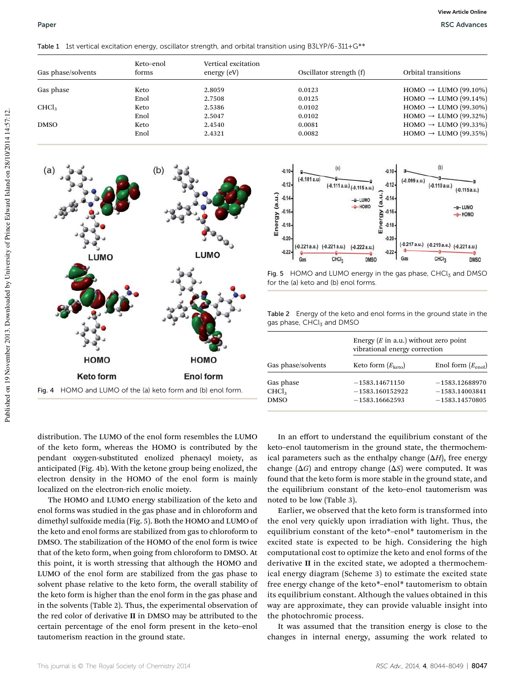Table 1 1st vertical excitation energy, oscillator strength, and orbital transition using B3LYP/6-311+G\*\*

| Oscillator strength (f) | Orbital transitions               |
|-------------------------|-----------------------------------|
| 0.0123                  | $HOMO \rightarrow LUMO (99.10\%)$ |
| 0.0125                  | $HOMO \rightarrow LUMO (99.14\%)$ |
| 0.0102                  | $HOMO \rightarrow LUMO (99.30\%)$ |
| 0.0102                  | $HOMO \rightarrow LUMO (99.32\%)$ |
| 0.0081                  | $HOMO \rightarrow LUMO (99.33\%)$ |
| 0.0082                  | $HOMO \rightarrow LUMO (99.35%)$  |
|                         | Vertical excitation               |







Table 2 Energy of the keto and enol forms in the ground state in the gas phase, CHCl3 and DMSO

| Gas phase/solvents | Energy $(E \text{ in a.u.})$ without zero point<br>vibrational energy correction |                        |  |
|--------------------|----------------------------------------------------------------------------------|------------------------|--|
|                    | Keto form $(E_{\text{keto}})$                                                    | Enol form $(E_{enol})$ |  |
| Gas phase          | $-1583.14671150$                                                                 | $-1583.12688970$       |  |
| CHCl <sub>3</sub>  | $-1583.160152922$                                                                | $-1583.14003841$       |  |
| <b>DMSO</b>        | $-1583.16662593$                                                                 | $-1583.14570805$       |  |

distribution. The LUMO of the enol form resembles the LUMO of the keto form, whereas the HOMO is contributed by the pendant oxygen-substituted enolized phenacyl moiety, as anticipated (Fig. 4b). With the ketone group being enolized, the electron density in the HOMO of the enol form is mainly localized on the electron-rich enolic moiety.

The HOMO and LUMO energy stabilization of the keto and enol forms was studied in the gas phase and in chloroform and dimethyl sulfoxide media (Fig. 5). Both the HOMO and LUMO of the keto and enol forms are stabilized from gas to chloroform to DMSO. The stabilization of the HOMO of the enol form is twice that of the keto form, when going from chloroform to DMSO. At this point, it is worth stressing that although the HOMO and LUMO of the enol form are stabilized from the gas phase to solvent phase relative to the keto form, the overall stability of the keto form is higher than the enol form in the gas phase and in the solvents (Table 2). Thus, the experimental observation of the red color of derivative II in DMSO may be attributed to the certain percentage of the enol form present in the keto–enol tautomerism reaction in the ground state.

In an effort to understand the equilibrium constant of the keto–enol tautomerism in the ground state, the thermochemical parameters such as the enthalpy change  $(\Delta H)$ , free energy change  $(\Delta G)$  and entropy change  $(\Delta S)$  were computed. It was found that the keto form is more stable in the ground state, and the equilibrium constant of the keto–enol tautomerism was noted to be low (Table 3).

Earlier, we observed that the keto form is transformed into the enol very quickly upon irradiation with light. Thus, the equilibrium constant of the keto\*–enol\* tautomerism in the excited state is expected to be high. Considering the high computational cost to optimize the keto and enol forms of the derivative II in the excited state, we adopted a thermochemical energy diagram (Scheme 3) to estimate the excited state free energy change of the keto\*–enol\* tautomerism to obtain its equilibrium constant. Although the values obtained in this way are approximate, they can provide valuable insight into the photochromic process.

It was assumed that the transition energy is close to the changes in internal energy, assuming the work related to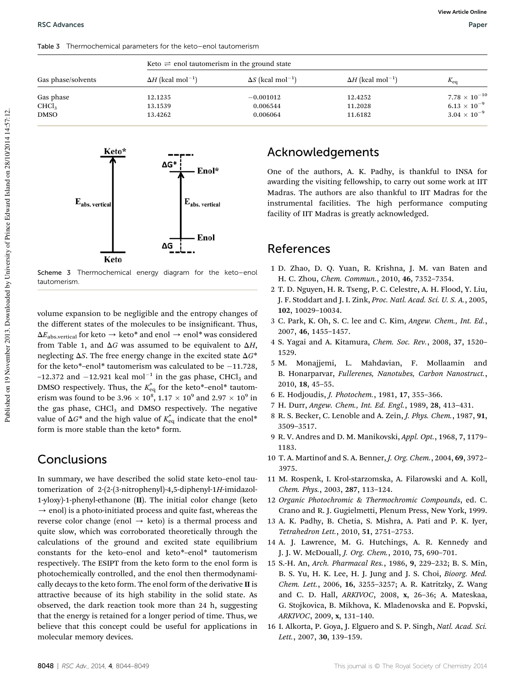Table 3 Thermochemical parameters for the keto–enol tautomerism

| Gas phase/solvents | Keto $\rightleftharpoons$ enol tautomerism in the ground state |                                      |                                      |                        |  |
|--------------------|----------------------------------------------------------------|--------------------------------------|--------------------------------------|------------------------|--|
|                    | $\Delta H$ (kcal mol <sup>-1</sup> )                           | $\Delta S$ (kcal mol <sup>-1</sup> ) | $\Delta H$ (kcal mol <sup>-1</sup> ) | $K_{\rm eq}$           |  |
| Gas phase          | 12.1235                                                        | $-0.001012$                          | 12.4252                              | $7.78 \times 10^{-10}$ |  |
| CHCl <sub>3</sub>  | 13.1539                                                        | 0.006544                             | 11.2028                              | $6.13 \times 10^{-9}$  |  |
| DMSO               | 13.4262                                                        | 0.006064                             | 11.6182                              | $3.04 \times 10^{-9}$  |  |



Scheme 3 Thermochemical energy diagram for the keto–enol tautomerism.

volume expansion to be negligible and the entropy changes of the different states of the molecules to be insignicant. Thus,  $\Delta E_{\rm abs, vertical}$  for keto  $\rightarrow$  keto\* and enol  $\rightarrow$  enol\* was considered from Table 1, and  $\Delta G$  was assumed to be equivalent to  $\Delta H$ , neglecting  $\Delta S$ . The free energy change in the excited state  $\Delta G^*$ for the keto $*$ -enol $*$  tautomerism was calculated to be  $-11.728$ ,  $-12.372$  and  $-12.921$  kcal mol<sup>-1</sup> in the gas phase, CHCl<sub>3</sub> and DMSO respectively. Thus, the  $K_{eq}^{*}$  for the keto\*–enol\* tautomerism was found to be 3.96  $\times$   $10^8, 1.17 \times 10^9$  and 2.97  $\times$   $10^9$  in the gas phase,  $CHCl<sub>3</sub>$  and DMSO respectively. The negative value of  $\Delta G^*$  and the high value of  $K_{\text{eq}}^*$  indicate that the enol\* form is more stable than the keto\* form.

#### **Conclusions**

In summary, we have described the solid state keto–enol tautomerization of 2-(2-(3-nitrophenyl)-4,5-diphenyl-1*H*-imidazol-1-yloxy)-1-phenyl-ethanone (II). The initial color change (keto  $\rightarrow$  enol) is a photo-initiated process and quite fast, whereas the reverse color change (enol  $\rightarrow$  keto) is a thermal process and quite slow, which was corroborated theoretically through the calculations of the ground and excited state equilibrium constants for the keto–enol and keto\*–enol\* tautomerism respectively. The ESIPT from the keto form to the enol form is photochemically controlled, and the enol then thermodynamically decays to the keto form. The enol form of the derivative II is attractive because of its high stability in the solid state. As observed, the dark reaction took more than 24 h, suggesting that the energy is retained for a longer period of time. Thus, we believe that this concept could be useful for applications in molecular memory devices.

### Acknowledgements

One of the authors, A. K. Padhy, is thankful to INSA for awarding the visiting fellowship, to carry out some work at IIT Madras. The authors are also thankful to IIT Madras for the instrumental facilities. The high performance computing facility of IIT Madras is greatly acknowledged.

#### References

- 1 D. Zhao, D. Q. Yuan, R. Krishna, J. M. van Baten and H. C. Zhou, *Chem. Commun.*, 2010, 46, 7352–7354.
- 2 T. D. Nguyen, H. R. Tseng, P. C. Celestre, A. H. Flood, Y. Liu, J. F. Stoddart and J. I. Zink, *Proc. Natl. Acad. Sci. U. S. A.*, 2005, 102, 10029–10034.
- 3 C. Park, K. Oh, S. C. lee and C. Kim, *Angew. Chem., Int. Ed.*, 2007, 46, 1455–1457.
- 4 S. Yagai and A. Kitamura, *Chem. Soc. Rev.*, 2008, 37, 1520– 1529.
- 5 M. Monajjemi, L. Mahdavian, F. Mollaamin and B. Honarparvar, *Fullerenes, Nanotubes, Carbon Nanostruct.*, 2010, 18, 45–55.
- 6 E. Hodjoudis, *J. Photochem.*, 1981, 17, 355–366.
- 7 H. Durr, *Angew. Chem., Int. Ed. Engl.*, 1989, 28, 413–431.
- 8 R. S. Becker, C. Lenoble and A. Zein, *J. Phys. Chem.*, 1987, 91, 3509–3517.
- 9 R. V. Andres and D. M. Manikovski, *Appl. Opt.*, 1968, 7, 1179– 1183.
- 10 T. A. Martinof and S. A. Benner, *J. Org. Chem.*, 2004, 69, 3972– 3975.
- 11 M. Rospenk, I. Krol-starzomska, A. Filarowski and A. Koll, *Chem. Phys.*, 2003, 287, 113–124.
- 12 *Organic Photochromic & Thermochromic Compounds*, ed. C. Crano and R. J. Gugielmetti, Plenum Press, New York, 1999.
- 13 A. K. Padhy, B. Chetia, S. Mishra, A. Pati and P. K. Iyer, *Tetrahedron Lett.*, 2010, 51, 2751–2753.
- 14 A. J. Lawrence, M. G. Hutchings, A. R. Kennedy and J. J. W. McDouall, *J. Org. Chem.*, 2010, 75, 690–701.
- 15 S.-H. An, *Arch. Pharmacal Res.*, 1986, 9, 229–232; B. S. Min, B. S. Yu, H. K. Lee, H. J. Jung and J. S. Choi, *Bioorg. Med. Chem. Lett.*, 2006, 16, 3255–3257; A. R. Katritzky, Z. Wang and C. D. Hall, *ARKIVOC*, 2008, x, 26–36; A. Mateskaa, G. Stojkovica, B. Mikhova, K. Mladenovska and E. Popvski, *ARKIVOC*, 2009, x, 131–140.
- 16 I. Alkorta, P. Goya, J. Elguero and S. P. Singh, *Natl. Acad. Sci. Lett.*, 2007, 30, 139–159.